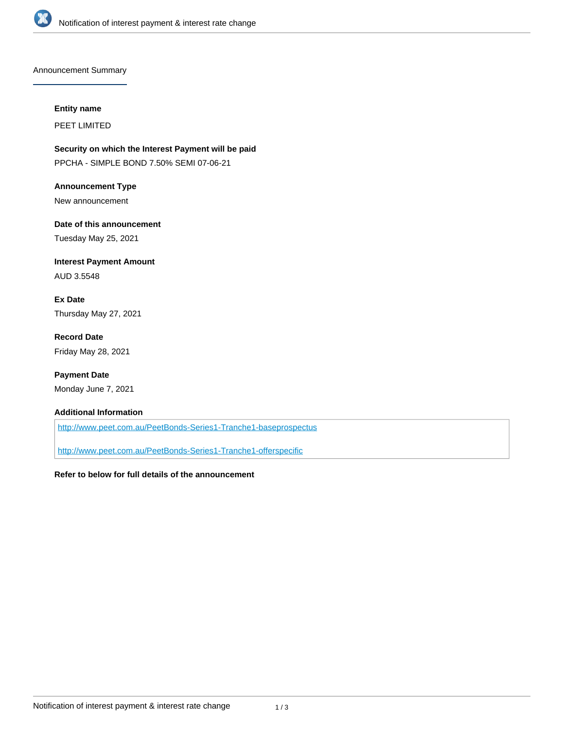

Announcement Summary

#### **Entity name**

PEET LIMITED

**Security on which the Interest Payment will be paid** PPCHA - SIMPLE BOND 7.50% SEMI 07-06-21

**Announcement Type** New announcement

**Date of this announcement** Tuesday May 25, 2021

**Interest Payment Amount** AUD 3.5548

**Ex Date** Thursday May 27, 2021

**Record Date** Friday May 28, 2021

**Payment Date** Monday June 7, 2021

#### **Additional Information**

<http://www.peet.com.au/PeetBonds-Series1-Tranche1-baseprospectus>

<http://www.peet.com.au/PeetBonds-Series1-Tranche1-offerspecific>

#### **Refer to below for full details of the announcement**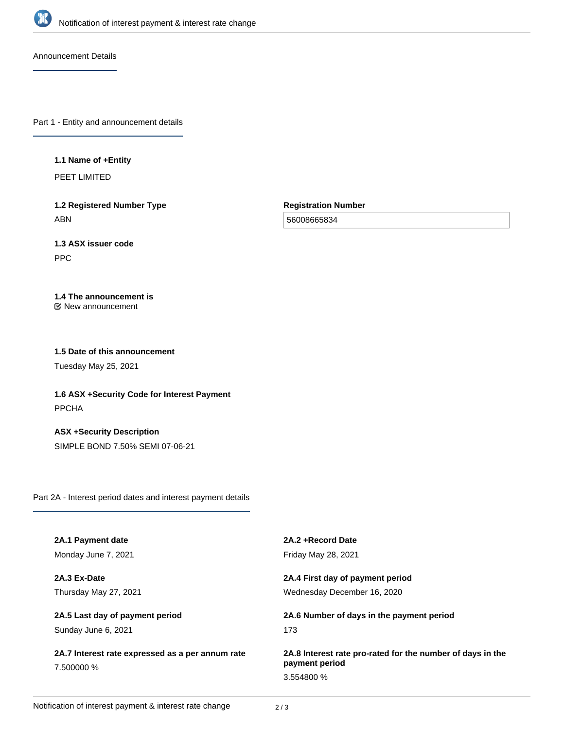

Announcement Details

Part 1 - Entity and announcement details

#### **1.1 Name of +Entity**

PEET LIMITED

**1.2 Registered Number Type** ABN

**Registration Number**

56008665834

# **1.3 ASX issuer code**

PPC

# **1.4 The announcement is**

New announcement

## **1.5 Date of this announcement**

Tuesday May 25, 2021

**1.6 ASX +Security Code for Interest Payment** PPCHA

**ASX +Security Description** SIMPLE BOND 7.50% SEMI 07-06-21

Part 2A - Interest period dates and interest payment details

| 2A.1 Payment date                                              | 2A.2 + Record Date                                                           |
|----------------------------------------------------------------|------------------------------------------------------------------------------|
| Monday June 7, 2021                                            | <b>Friday May 28, 2021</b>                                                   |
| 2A.3 Ex-Date                                                   | 2A.4 First day of payment period                                             |
| Thursday May 27, 2021                                          | Wednesday December 16, 2020                                                  |
| 2A.5 Last day of payment period                                | 2A.6 Number of days in the payment period                                    |
| Sunday June 6, 2021                                            | 173                                                                          |
| 2A.7 Interest rate expressed as a per annum rate<br>7.500000 % | 2A.8 Interest rate pro-rated for the number of days in the<br>payment period |
|                                                                | 3.554800 %                                                                   |